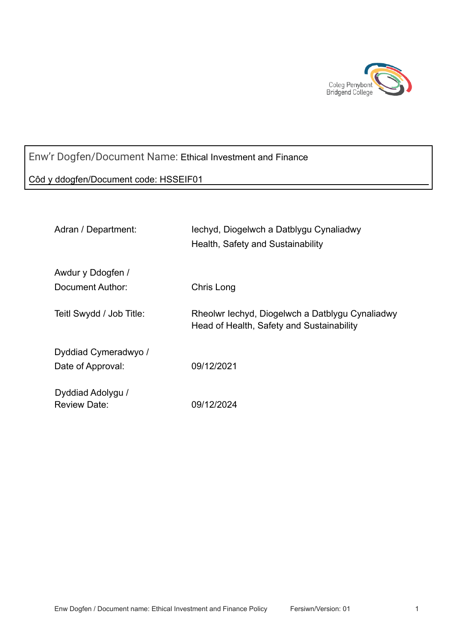

# Enw'r Dogfen/Document Name: Ethical Investment and Finance

### Côd y ddogfen/Document code: HSSEIF01

| Adran / Department:                   | lechyd, Diogelwch a Datblygu Cynaliadwy<br>Health, Safety and Sustainability                 |
|---------------------------------------|----------------------------------------------------------------------------------------------|
| Awdur y Ddogfen /<br>Document Author: | Chris Long                                                                                   |
| Teitl Swydd / Job Title:              | Rheolwr Iechyd, Diogelwch a Datblygu Cynaliadwy<br>Head of Health, Safety and Sustainability |
| Dyddiad Cymeradwyo /                  |                                                                                              |
| Date of Approval:                     | 09/12/2021                                                                                   |
| Dyddiad Adolygu /<br>Review Date:     | 09/12/2024                                                                                   |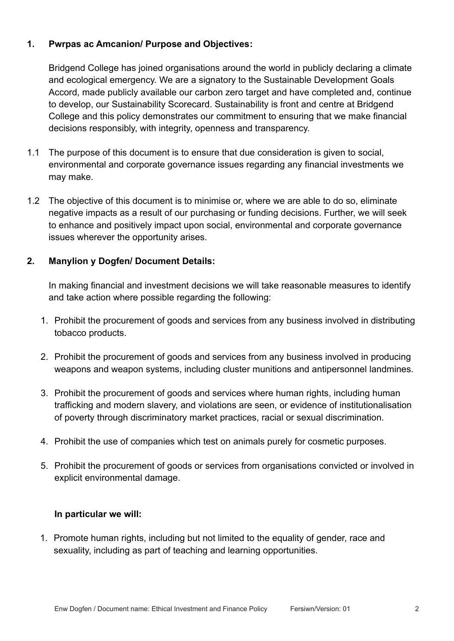### **1. Pwrpas ac Amcanion/ Purpose and Objectives:**

Bridgend College has joined organisations around the world in publicly declaring a climate and ecological emergency. We are a signatory to the Sustainable Development Goals Accord, made publicly available our carbon zero target and have completed and, continue to develop, our Sustainability Scorecard. Sustainability is front and centre at Bridgend College and this policy demonstrates our commitment to ensuring that we make financial decisions responsibly, with integrity, openness and transparency.

- 1.1 The purpose of this document is to ensure that due consideration is given to social, environmental and corporate governance issues regarding any financial investments we may make.
- 1.2 The objective of this document is to minimise or, where we are able to do so, eliminate negative impacts as a result of our purchasing or funding decisions. Further, we will seek to enhance and positively impact upon social, environmental and corporate governance issues wherever the opportunity arises.

## **2. Manylion y Dogfen/ Document Details:**

In making financial and investment decisions we will take reasonable measures to identify and take action where possible regarding the following:

- 1. Prohibit the procurement of goods and services from any business involved in distributing tobacco products.
- 2. Prohibit the procurement of goods and services from any business involved in producing weapons and weapon systems, including cluster munitions and antipersonnel landmines.
- 3. Prohibit the procurement of goods and services where human rights, including human trafficking and modern slavery, and violations are seen, or evidence of institutionalisation of poverty through discriminatory market practices, racial or sexual discrimination.
- 4. Prohibit the use of companies which test on animals purely for cosmetic purposes.
- 5. Prohibit the procurement of goods or services from organisations convicted or involved in explicit environmental damage.

### **In particular we will:**

1. Promote human rights, including but not limited to the equality of gender, race and sexuality, including as part of teaching and learning opportunities.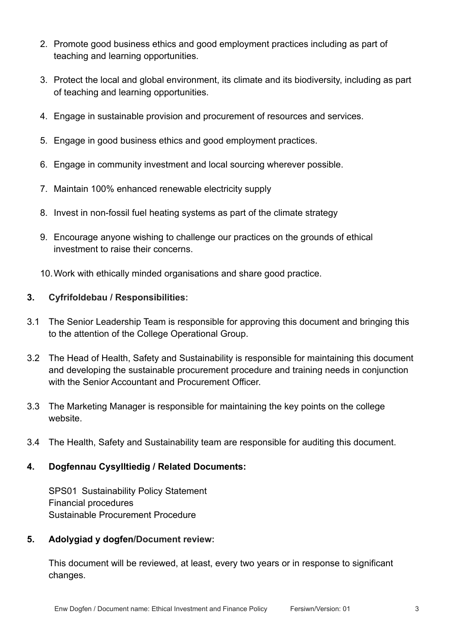- 2. Promote good business ethics and good employment practices including as part of teaching and learning opportunities.
- 3. Protect the local and global environment, its climate and its biodiversity, including as part of teaching and learning opportunities.
- 4. Engage in sustainable provision and procurement of resources and services.
- 5. Engage in good business ethics and good employment practices.
- 6. Engage in community investment and local sourcing wherever possible.
- 7. Maintain 100% enhanced renewable electricity supply
- 8. Invest in non-fossil fuel heating systems as part of the climate strategy
- 9. Encourage anyone wishing to challenge our practices on the grounds of ethical investment to raise their concerns.
- 10.Work with ethically minded organisations and share good practice.

#### **3. Cyfrifoldebau / Responsibilities:**

- 3.1 The Senior Leadership Team is responsible for approving this document and bringing this to the attention of the College Operational Group.
- 3.2 The Head of Health, Safety and Sustainability is responsible for maintaining this document and developing the sustainable procurement procedure and training needs in conjunction with the Senior Accountant and Procurement Officer.
- 3.3 The Marketing Manager is responsible for maintaining the key points on the college website.
- 3.4 The Health, Safety and Sustainability team are responsible for auditing this document.

### **4. Dogfennau Cysylltiedig / Related Documents:**

SPS01 Sustainability Policy Statement Financial procedures Sustainable Procurement Procedure

#### **5. Adolygiad y dogfen/Document review:**

This document will be reviewed, at least, every two years or in response to significant changes.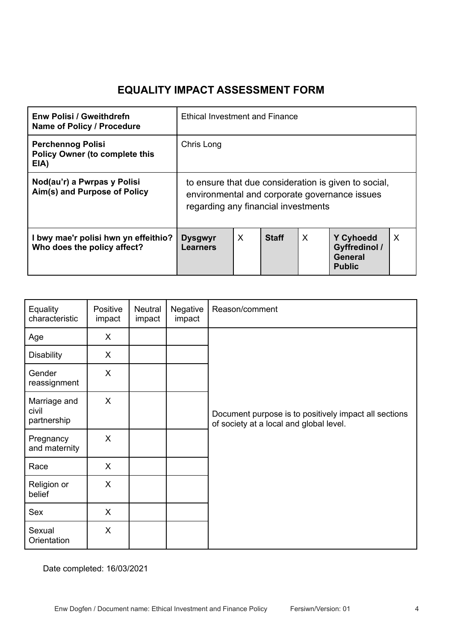# **EQUALITY IMPACT ASSESSMENT FORM**

| <b>Enw Polisi / Gweithdrefn</b><br>Name of Policy / Procedure             | <b>Ethical Investment and Finance</b>                                                                                                        |   |              |   |                                                                             |   |
|---------------------------------------------------------------------------|----------------------------------------------------------------------------------------------------------------------------------------------|---|--------------|---|-----------------------------------------------------------------------------|---|
| <b>Perchennog Polisi</b><br><b>Policy Owner (to complete this</b><br>EIA) | Chris Long                                                                                                                                   |   |              |   |                                                                             |   |
| Nod(au'r) a Pwrpas y Polisi<br>Aim(s) and Purpose of Policy               | to ensure that due consideration is given to social,<br>environmental and corporate governance issues<br>regarding any financial investments |   |              |   |                                                                             |   |
| I bwy mae'r polisi hwn yn effeithio?<br>Who does the policy affect?       | <b>Dysgwyr</b><br><b>Learners</b>                                                                                                            | X | <b>Staff</b> | X | <b>Y Cyhoedd</b><br><b>Gyffredinol /</b><br><b>General</b><br><b>Public</b> | X |

| Equality<br>characteristic           | Positive<br>impact | <b>Neutral</b><br>impact | Negative<br>impact | Reason/comment                                                                                   |
|--------------------------------------|--------------------|--------------------------|--------------------|--------------------------------------------------------------------------------------------------|
| Age                                  | X                  |                          |                    |                                                                                                  |
| <b>Disability</b>                    | X                  |                          |                    |                                                                                                  |
| Gender<br>reassignment               | X                  |                          |                    |                                                                                                  |
| Marriage and<br>civil<br>partnership | X                  |                          |                    | Document purpose is to positively impact all sections<br>of society at a local and global level. |
| Pregnancy<br>and maternity           | X                  |                          |                    |                                                                                                  |
| Race                                 | X                  |                          |                    |                                                                                                  |
| Religion or<br>belief                | X                  |                          |                    |                                                                                                  |
| Sex                                  | X                  |                          |                    |                                                                                                  |
| Sexual<br>Orientation                | X                  |                          |                    |                                                                                                  |

Date completed: 16/03/2021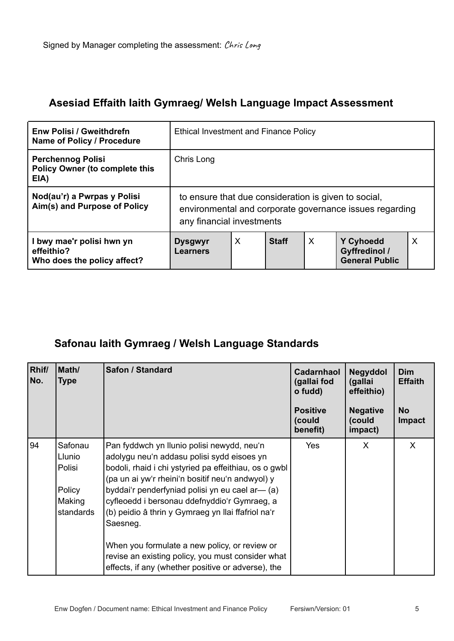## **Asesiad Effaith Iaith Gymraeg/ Welsh Language Impact Assessment**

| <b>Enw Polisi / Gweithdrefn</b><br>Name of Policy / Procedure             | <b>Ethical Investment and Finance Policy</b>                                                                                                 |   |              |   |                                                                   |   |
|---------------------------------------------------------------------------|----------------------------------------------------------------------------------------------------------------------------------------------|---|--------------|---|-------------------------------------------------------------------|---|
| <b>Perchennog Polisi</b><br><b>Policy Owner (to complete this</b><br>EIA) | Chris Long                                                                                                                                   |   |              |   |                                                                   |   |
| Nod(au'r) a Pwrpas y Polisi<br>Aim(s) and Purpose of Policy               | to ensure that due consideration is given to social,<br>environmental and corporate governance issues regarding<br>any financial investments |   |              |   |                                                                   |   |
| l bwy mae'r polisi hwn yn<br>effeithio?<br>Who does the policy affect?    | <b>Dysgwyr</b><br><b>Learners</b>                                                                                                            | X | <b>Staff</b> | X | <b>Y Cyhoedd</b><br><b>Gyffredinol /</b><br><b>General Public</b> | X |

# **Safonau Iaith Gymraeg / Welsh Language Standards**

| Rhif/<br>No. | Math/<br><b>Type</b>                                         | Safon / Standard                                                                                                                                                                                                                                                                                                                                                                                                                                                                 | Cadarnhaol<br>(gallai fod<br>o fudd)<br><b>Positive</b><br>(could<br>benefit) | Negyddol<br>(gallai<br>effeithio)<br><b>Negative</b><br>(could<br>impact) | <b>Dim</b><br><b>Effaith</b><br><b>No</b><br><b>Impact</b> |
|--------------|--------------------------------------------------------------|----------------------------------------------------------------------------------------------------------------------------------------------------------------------------------------------------------------------------------------------------------------------------------------------------------------------------------------------------------------------------------------------------------------------------------------------------------------------------------|-------------------------------------------------------------------------------|---------------------------------------------------------------------------|------------------------------------------------------------|
| 94           | Safonau<br>Llunio<br>Polisi<br>Policy<br>Making<br>standards | Pan fyddwch yn llunio polisi newydd, neu'n<br>adolygu neu'n addasu polisi sydd eisoes yn<br>bodoli, rhaid i chi ystyried pa effeithiau, os o gwbl<br>(pa un ai yw'r rheini'n bositif neu'n andwyol) y<br>byddai'r penderfyniad polisi yn eu cael ar— (a)<br>cyfleoedd i bersonau ddefnyddio'r Gymraeg, a<br>(b) peidio â thrin y Gymraeg yn llai ffafriol na'r<br>Saesneg.<br>When you formulate a new policy, or review or<br>revise an existing policy, you must consider what | <b>Yes</b>                                                                    | X                                                                         | X                                                          |